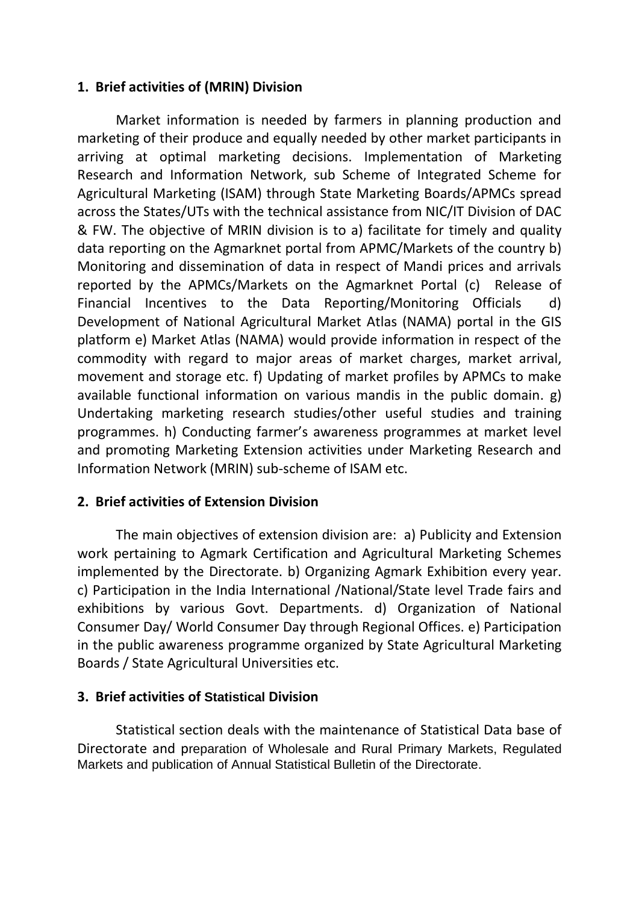### **1. Brief activities of (MRIN) Division**

Market information is needed by farmers in planning production and marketing of their produce and equally needed by other market participants in arriving at optimal marketing decisions. Implementation of Marketing Research and Information Network, sub Scheme of Integrated Scheme for Agricultural Marketing (ISAM) through State Marketing Boards/APMCs spread across the States/UTs with the technical assistance from NIC/IT Division of DAC & FW. The objective of MRIN division is to a) facilitate for timely and quality data reporting on the Agmarknet portal from APMC/Markets of the country b) Monitoring and dissemination of data in respect of Mandi prices and arrivals reported by the APMCs/Markets on the Agmarknet Portal (c) Release of Financial Incentives to the Data Reporting/Monitoring Officials d) Development of National Agricultural Market Atlas (NAMA) portal in the GIS platform e) Market Atlas (NAMA) would provide information in respect of the commodity with regard to major areas of market charges, market arrival, movement and storage etc. f) Updating of market profiles by APMCs to make available functional information on various mandis in the public domain. g) Undertaking marketing research studies/other useful studies and training programmes. h) Conducting farmer's awareness programmes at market level and promoting Marketing Extension activities under Marketing Research and Information Network (MRIN) sub-scheme of ISAM etc.

# **2. Brief activities of Extension Division**

The main objectives of extension division are: a) Publicity and Extension work pertaining to Agmark Certification and Agricultural Marketing Schemes implemented by the Directorate. b) Organizing Agmark Exhibition every year. c) Participation in the India International /National/State level Trade fairs and exhibitions by various Govt. Departments. d) Organization of National Consumer Day/ World Consumer Day through Regional Offices. e) Participation in the public awareness programme organized by State Agricultural Marketing Boards / State Agricultural Universities etc.

### **3. Brief activities of Statistical Division**

Statistical section deals with the maintenance of Statistical Data base of Directorate and preparation of Wholesale and Rural Primary Markets, Regulated Markets and publication of Annual Statistical Bulletin of the Directorate.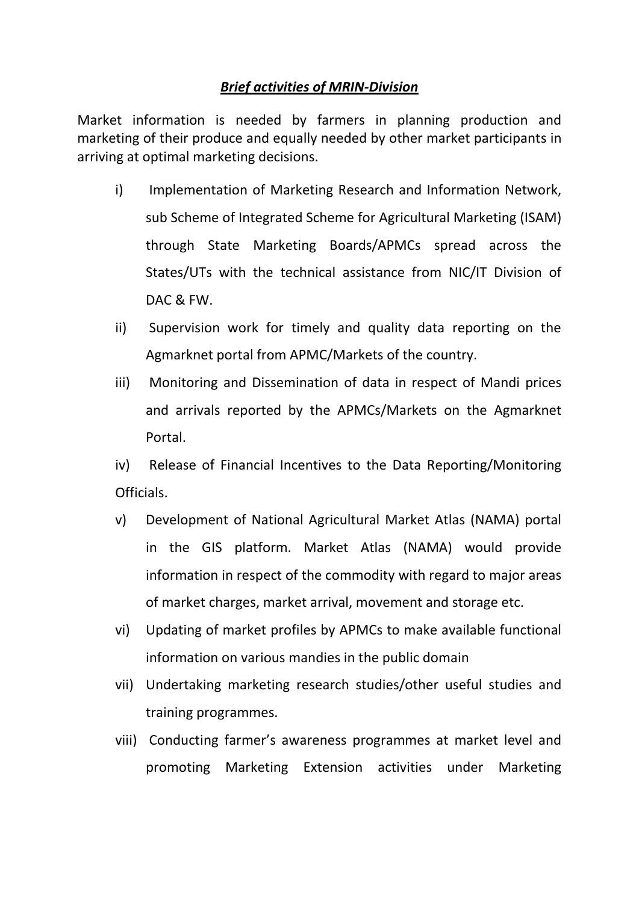### *Brief activities of MRIN-Division*

Market information is needed by farmers in planning production and marketing of their produce and equally needed by other market participants in arriving at optimal marketing decisions.

- i) Implementation of Marketing Research and Information Network, sub Scheme of Integrated Scheme for Agricultural Marketing (ISAM) through State Marketing Boards/APMCs spread across the States/UTs with the technical assistance from NIC/IT Division of DAC & FW.
- ii) Supervision work for timely and quality data reporting on the Agmarknet portal from APMC/Markets of the country.
- iii) Monitoring and Dissemination of data in respect of Mandi prices and arrivals reported by the APMCs/Markets on the Agmarknet Portal.

iv) Release of Financial Incentives to the Data Reporting/Monitoring Officials.

- v) Development of National Agricultural Market Atlas (NAMA) portal in the GIS platform. Market Atlas (NAMA) would provide information in respect of the commodity with regard to major areas of market charges, market arrival, movement and storage etc.
- vi) Updating of market profiles by APMCs to make available functional information on various mandies in the public domain
- vii) Undertaking marketing research studies/other useful studies and training programmes.
- viii) Conducting farmer's awareness programmes at market level and promoting Marketing Extension activities under Marketing